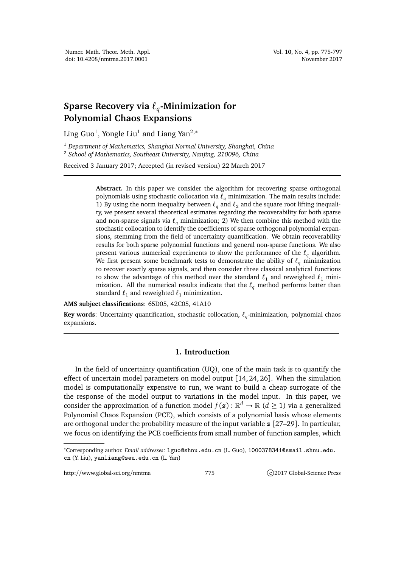## **Sparse Recovery via** *ℓ<sup>q</sup>* **-Minimization for Polynomial Chaos Expansions**

Ling Guo $^1$ , Yongle Liu $^1$  and Liang Yan $^{2,\ast}$ 

<sup>1</sup> *Department of Mathematics, Shanghai Normal University, Shanghai, China* <sup>2</sup> *School of Mathematics, Southeast University, Nanjing, 210096, China*

Received 3 January 2017; Accepted (in revised version) 22 March 2017

**Abstract.** In this paper we consider the algorithm for recovering sparse orthogonal polynomials using stochastic collocation via *ℓ<sup>q</sup>* minimization. The main results include: 1) By using the norm inequality between  $\ell_q$  and  $\ell_2$  and the square root lifting inequality, we present several theoretical estimates regarding the recoverability for both sparse and non-sparse signals via  $\ell_a$  minimization; 2) We then combine this method with the stochastic collocation to identify the coefficients of sparse orthogonal polynomial expansions, stemming from the field of uncertainty quantification. We obtain recoverability results for both sparse polynomial functions and general non-sparse functions. We also present various numerical experiments to show the performance of the *ℓ<sup>q</sup>* algorithm. We first present some benchmark tests to demonstrate the ability of *ℓ<sup>q</sup>* minimization to recover exactly sparse signals, and then consider three classical analytical functions to show the advantage of this method over the standard  $\ell_1$  and reweighted  $\ell_1$  minimization. All the numerical results indicate that the  $\ell_q$  method performs better than standard  $\ell_1$  and reweighted  $\ell_1$  minimization.

**AMS subject classifications**: 65D05, 42C05, 41A10

**Key words**: Uncertainty quantification, stochastic collocation, *ℓ<sup>q</sup>* -minimization, polynomial chaos expansions.

## **1. Introduction**

In the field of uncertainty quantification (UQ), one of the main task is to quantify the effect of uncertain model parameters on model output [14, 24, 26]. When the simulation model is computationally expensive to run, we want to build a cheap surrogate of the the response of the model output to variations in the model input. In this paper, we consider the approximation of a function model  $f(\mathbf{z}): \mathbb{R}^d \to \mathbb{R}$   $(d \geq 1)$  via a generalized Polynomial Chaos Expansion (PCE), which consists of a polynomial basis whose elements are orthogonal under the probability measure of the input variable *z* [27–29]. In particular, we focus on identifying the PCE coefficients from small number of function samples, which

http://www.global-sci.org/nmtma 775 c)2017 Global-Science Press

<sup>∗</sup>Corresponding author. *Email addresses:* lguo@shnu.edu.cn (L. Guo), 1000378341@smail.shnu.edu. cn (Y. Liu), yanliang@seu.edu.cn (L. Yan)